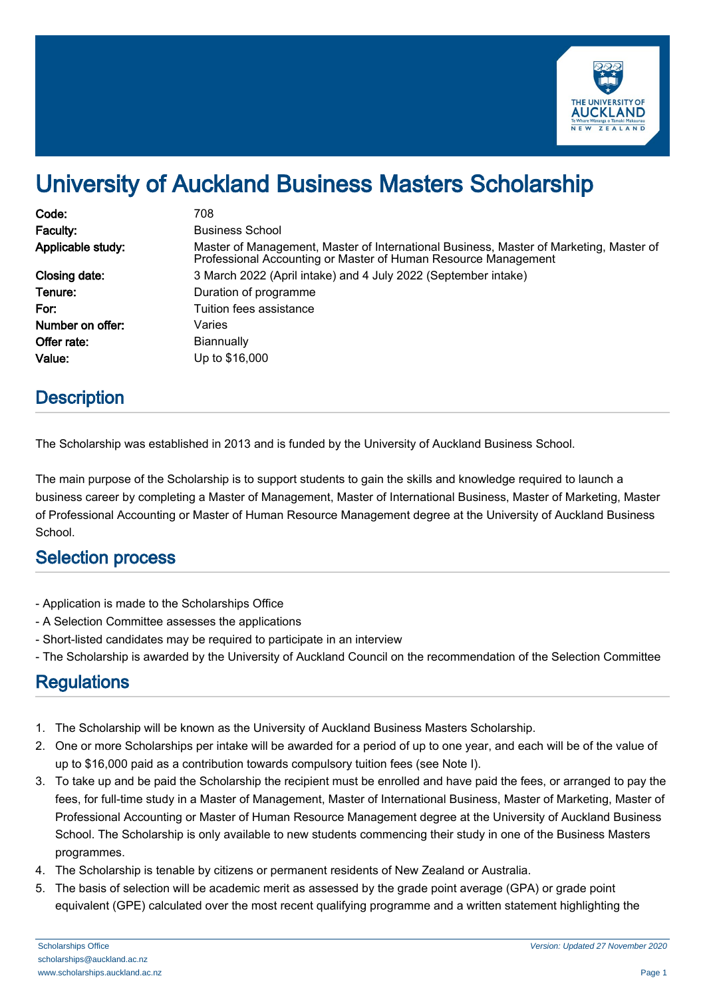

# University of Auckland Business Masters Scholarship

| Code:             | 708                                                                                                                                                      |
|-------------------|----------------------------------------------------------------------------------------------------------------------------------------------------------|
| Faculty:          | <b>Business School</b>                                                                                                                                   |
| Applicable study: | Master of Management, Master of International Business, Master of Marketing, Master of<br>Professional Accounting or Master of Human Resource Management |
| Closing date:     | 3 March 2022 (April intake) and 4 July 2022 (September intake)                                                                                           |
| Tenure:           | Duration of programme                                                                                                                                    |
| For:              | Tuition fees assistance                                                                                                                                  |
| Number on offer:  | Varies                                                                                                                                                   |
| Offer rate:       | <b>Biannually</b>                                                                                                                                        |
| Value:            | Up to \$16,000                                                                                                                                           |

## **Description**

The Scholarship was established in 2013 and is funded by the University of Auckland Business School.

The main purpose of the Scholarship is to support students to gain the skills and knowledge required to launch a business career by completing a Master of Management, Master of International Business, Master of Marketing, Master of Professional Accounting or Master of Human Resource Management degree at the University of Auckland Business School.

#### Selection process

- Application is made to the Scholarships Office
- A Selection Committee assesses the applications
- Short-listed candidates may be required to participate in an interview
- The Scholarship is awarded by the University of Auckland Council on the recommendation of the Selection Committee

# **Regulations**

- 1. The Scholarship will be known as the University of Auckland Business Masters Scholarship.
- 2. One or more Scholarships per intake will be awarded for a period of up to one year, and each will be of the value of up to \$16,000 paid as a contribution towards compulsory tuition fees (see Note I).
- 3. To take up and be paid the Scholarship the recipient must be enrolled and have paid the fees, or arranged to pay the fees, for full-time study in a Master of Management, Master of International Business, Master of Marketing, Master of Professional Accounting or Master of Human Resource Management degree at the University of Auckland Business School. The Scholarship is only available to new students commencing their study in one of the Business Masters programmes.
- 4. The Scholarship is tenable by citizens or permanent residents of New Zealand or Australia.
- 5. The basis of selection will be academic merit as assessed by the grade point average (GPA) or grade point equivalent (GPE) calculated over the most recent qualifying programme and a written statement highlighting the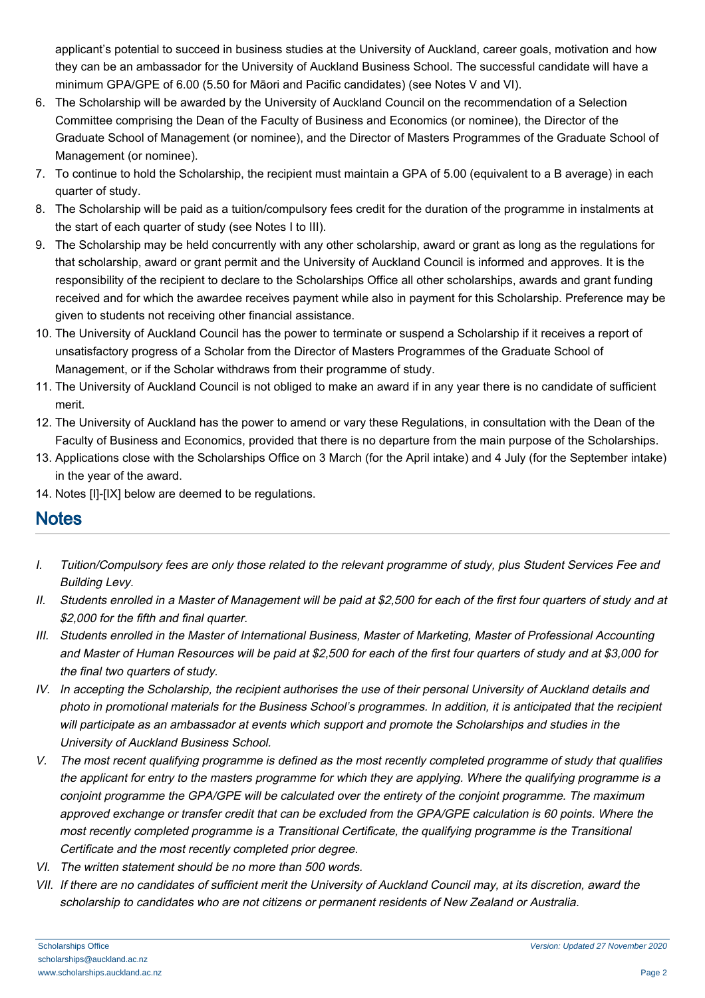applicant's potential to succeed in business studies at the University of Auckland, career goals, motivation and how they can be an ambassador for the University of Auckland Business School. The successful candidate will have a minimum GPA/GPE of 6.00 (5.50 for Māori and Pacific candidates) (see Notes V and VI).

- 6. The Scholarship will be awarded by the University of Auckland Council on the recommendation of a Selection Committee comprising the Dean of the Faculty of Business and Economics (or nominee), the Director of the Graduate School of Management (or nominee), and the Director of Masters Programmes of the Graduate School of Management (or nominee).
- 7. To continue to hold the Scholarship, the recipient must maintain a GPA of 5.00 (equivalent to a B average) in each quarter of study.
- 8. The Scholarship will be paid as a tuition/compulsory fees credit for the duration of the programme in instalments at the start of each quarter of study (see Notes I to III).
- 9. The Scholarship may be held concurrently with any other scholarship, award or grant as long as the regulations for that scholarship, award or grant permit and the University of Auckland Council is informed and approves. It is the responsibility of the recipient to declare to the Scholarships Office all other scholarships, awards and grant funding received and for which the awardee receives payment while also in payment for this Scholarship. Preference may be given to students not receiving other financial assistance.
- 10. The University of Auckland Council has the power to terminate or suspend a Scholarship if it receives a report of unsatisfactory progress of a Scholar from the Director of Masters Programmes of the Graduate School of Management, or if the Scholar withdraws from their programme of study.
- 11. The University of Auckland Council is not obliged to make an award if in any year there is no candidate of sufficient merit.
- 12. The University of Auckland has the power to amend or vary these Regulations, in consultation with the Dean of the Faculty of Business and Economics, provided that there is no departure from the main purpose of the Scholarships.
- 13. Applications close with the Scholarships Office on 3 March (for the April intake) and 4 July (for the September intake) in the year of the award.
- 14. Notes [I]-[IX] below are deemed to be regulations.

## **Notes**

- I. Tuition/Compulsory fees are only those related to the relevant programme of study, plus Student Services Fee and Building Levy.
- II. Students enrolled in a Master of Management will be paid at \$2,500 for each of the first four quarters of study and at \$2,000 for the fifth and final quarter.
- III. Students enrolled in the Master of International Business, Master of Marketing, Master of Professional Accounting and Master of Human Resources will be paid at \$2,500 for each of the first four quarters of study and at \$3,000 for the final two quarters of study.
- IV. In accepting the Scholarship, the recipient authorises the use of their personal University of Auckland details and photo in promotional materials for the Business School's programmes. In addition, it is anticipated that the recipient will participate as an ambassador at events which support and promote the Scholarships and studies in the University of Auckland Business School.
- V. The most recent qualifying programme is defined as the most recently completed programme of study that qualifies the applicant for entry to the masters programme for which they are applying. Where the qualifying programme is a conjoint programme the GPA/GPE will be calculated over the entirety of the conjoint programme. The maximum approved exchange or transfer credit that can be excluded from the GPA/GPE calculation is 60 points. Where the most recently completed programme is a Transitional Certificate, the qualifying programme is the Transitional Certificate and the most recently completed prior degree.
- VI. The written statement should be no more than 500 words.
- VII. If there are no candidates of sufficient merit the University of Auckland Council may, at its discretion, award the scholarship to candidates who are not citizens or permanent residents of New Zealand or Australia.